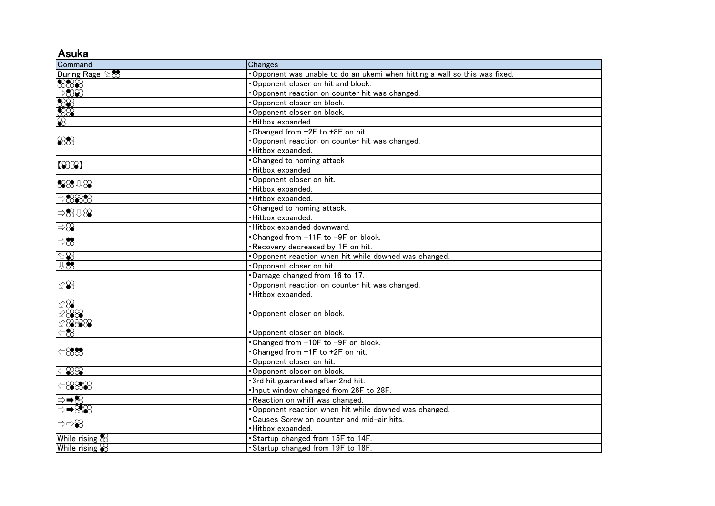## Asuka

| Command                        | Changes                                                                   |
|--------------------------------|---------------------------------------------------------------------------|
| During Rage 98                 | Opponent was unable to do an ukemi when hitting a wall so this was fixed. |
|                                | Opponent closer on hit and block.                                         |
|                                | Opponent reaction on counter hit was changed.                             |
|                                | Opponent closer on block.                                                 |
|                                | Opponent closer on block.                                                 |
|                                | ·Hitbox expanded.                                                         |
| 888                            | . Changed from +2F to +8F on hit.                                         |
|                                | Opponent reaction on counter hit was changed.                             |
|                                | ·Hitbox expanded.                                                         |
| 【888】                          | <b>Changed to homing attack</b>                                           |
|                                | ·Hitbox expanded                                                          |
| 88848                          | Opponent closer on hit.                                                   |
|                                | ·Hitbox expanded.                                                         |
| $\Rightarrow$ $\frac{8888}{8}$ | ·Hitbox expanded.                                                         |
| $\Rightarrow 8.08$             | <b>Changed to homing attack.</b>                                          |
|                                | ·Hitbox expanded.                                                         |
| $\Rightarrow\infty$            | ·Hitbox expanded downward.                                                |
| $\Rightarrow \infty$           | •Changed from -11F to -9F on block.                                       |
|                                | Recovery decreased by 1F on hit.                                          |
| $\cong$                        | Opponent reaction when hit while downed was changed.                      |
| $\sqrt{3}$                     | Opponent closer on hit.                                                   |
|                                | Damage changed from 16 to 17.                                             |
|                                | Opponent reaction on counter hit was changed.                             |
|                                | ·Hitbox expanded.                                                         |
| $~\otimes\otimes$              |                                                                           |
| 288                            | Opponent closer on block.                                                 |
| 28888                          |                                                                           |
| $\overline{58}$                | Opponent closer on block.                                                 |
|                                | Changed from -10F to -9F on block.                                        |
| $\Leftrightarrow$ 888          | Changed from +1F to +2F on hit.                                           |
|                                | Opponent closer on hit.                                                   |
| $rac{88}{2}$                   | Opponent closer on block.                                                 |
| $\Leftrightarrow$ 8888         | · 3rd hit guaranteed after 2nd hit.                                       |
|                                | Input window changed from 26F to 28F.                                     |
| ⇒➡⊗                            | Reaction on whiff was changed.                                            |
| ⇒➡⊗⊛                           | . Opponent reaction when hit while downed was changed.                    |
| ⇒⇔≌                            | . Causes Screw on counter and mid-air hits.                               |
|                                | ·Hitbox expanded.                                                         |
| While rising $\&$              | Startup changed from 15F to 14F.                                          |
| While rising $\otimes$         | . Startup changed from 19F to 18F.                                        |